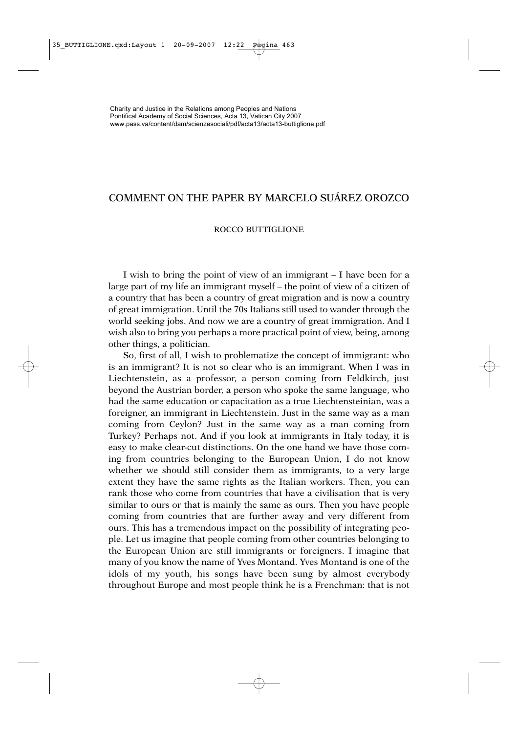## COMMENT ON THE PAPER BY MARCELO SUÁREZ OROZCO

## ROCCO BUTTIGLIONE

I wish to bring the point of view of an immigrant – I have been for a large part of my life an immigrant myself – the point of view of a citizen of a country that has been a country of great migration and is now a country of great immigration. Until the 70s Italians still used to wander through the world seeking jobs. And now we are a country of great immigration. And I wish also to bring you perhaps a more practical point of view, being, among other things, a politician.

So, first of all, I wish to problematize the concept of immigrant: who is an immigrant? It is not so clear who is an immigrant. When I was in Liechtenstein, as a professor, a person coming from Feldkirch, just beyond the Austrian border, a person who spoke the same language, who had the same education or capacitation as a true Liechtensteinian, was a foreigner, an immigrant in Liechtenstein. Just in the same way as a man coming from Ceylon? Just in the same way as a man coming from Turkey? Perhaps not. And if you look at immigrants in Italy today, it is easy to make clear-cut distinctions. On the one hand we have those coming from countries belonging to the European Union, I do not know whether we should still consider them as immigrants, to a very large extent they have the same rights as the Italian workers. Then, you can rank those who come from countries that have a civilisation that is very similar to ours or that is mainly the same as ours. Then you have people coming from countries that are further away and very different from ours. This has a tremendous impact on the possibility of integrating people. Let us imagine that people coming from other countries belonging to the European Union are still immigrants or foreigners. I imagine that many of you know the name of Yves Montand. Yves Montand is one of the idols of my youth, his songs have been sung by almost everybody throughout Europe and most people think he is a Frenchman: that is not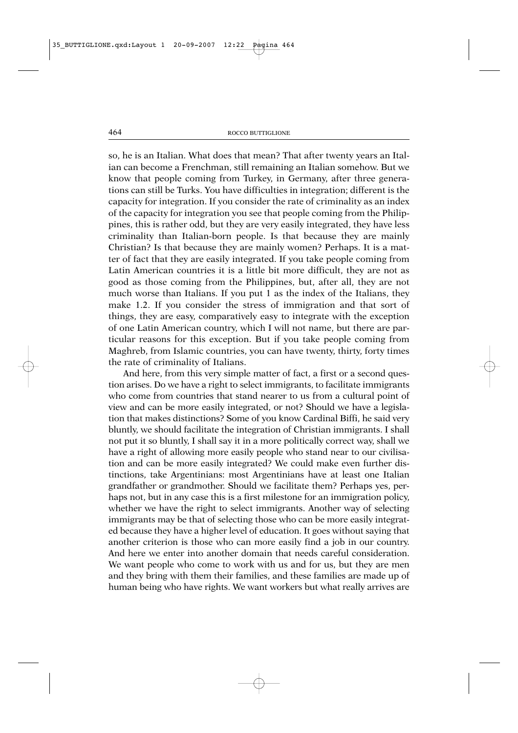so, he is an Italian. What does that mean? That after twenty years an Italian can become a Frenchman, still remaining an Italian somehow. But we know that people coming from Turkey, in Germany, after three generations can still be Turks. You have difficulties in integration; different is the capacity for integration. If you consider the rate of criminality as an index of the capacity for integration you see that people coming from the Philippines, this is rather odd, but they are very easily integrated, they have less criminality than Italian-born people. Is that because they are mainly Christian? Is that because they are mainly women? Perhaps. It is a matter of fact that they are easily integrated. If you take people coming from Latin American countries it is a little bit more difficult, they are not as good as those coming from the Philippines, but, after all, they are not much worse than Italians. If you put 1 as the index of the Italians, they make 1.2. If you consider the stress of immigration and that sort of things, they are easy, comparatively easy to integrate with the exception of one Latin American country, which I will not name, but there are particular reasons for this exception. But if you take people coming from Maghreb, from Islamic countries, you can have twenty, thirty, forty times the rate of criminality of Italians.

And here, from this very simple matter of fact, a first or a second question arises. Do we have a right to select immigrants, to facilitate immigrants who come from countries that stand nearer to us from a cultural point of view and can be more easily integrated, or not? Should we have a legislation that makes distinctions? Some of you know Cardinal Biffi, he said very bluntly, we should facilitate the integration of Christian immigrants. I shall not put it so bluntly, I shall say it in a more politically correct way, shall we have a right of allowing more easily people who stand near to our civilisation and can be more easily integrated? We could make even further distinctions, take Argentinians: most Argentinians have at least one Italian grandfather or grandmother. Should we facilitate them? Perhaps yes, perhaps not, but in any case this is a first milestone for an immigration policy, whether we have the right to select immigrants. Another way of selecting immigrants may be that of selecting those who can be more easily integrated because they have a higher level of education. It goes without saying that another criterion is those who can more easily find a job in our country. And here we enter into another domain that needs careful consideration. We want people who come to work with us and for us, but they are men and they bring with them their families, and these families are made up of human being who have rights. We want workers but what really arrives are